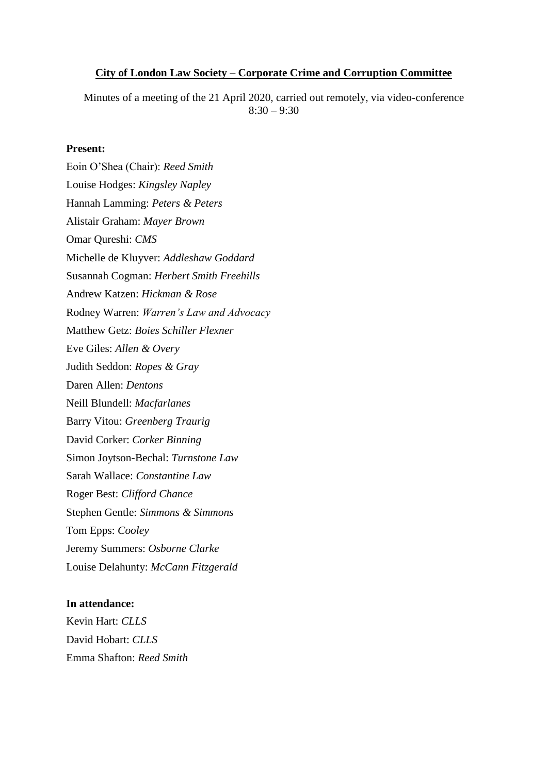### **City of London Law Society – Corporate Crime and Corruption Committee**

Minutes of a meeting of the 21 April 2020, carried out remotely, via video-conference  $8:30 - 9:30$ 

## **Present:**

Eoin O'Shea (Chair): *Reed Smith*  Louise Hodges: *Kingsley Napley* Hannah Lamming: *Peters & Peters* Alistair Graham: *Mayer Brown* Omar Qureshi: *CMS* Michelle de Kluyver: *Addleshaw Goddard* Susannah Cogman: *Herbert Smith Freehills* Andrew Katzen: *Hickman & Rose* Rodney Warren: *Warren's Law and Advocacy* Matthew Getz: *Boies Schiller Flexner* Eve Giles: *Allen & Overy* Judith Seddon: *Ropes & Gray* Daren Allen: *Dentons* Neill Blundell: *Macfarlanes* Barry Vitou: *Greenberg Traurig* David Corker: *Corker Binning* Simon Joytson-Bechal: *Turnstone Law* Sarah Wallace: *Constantine Law* Roger Best: *Clifford Chance* Stephen Gentle: *Simmons & Simmons* Tom Epps: *Cooley* Jeremy Summers: *Osborne Clarke* Louise Delahunty: *McCann Fitzgerald*

#### **In attendance:**

Kevin Hart: *CLLS* David Hobart: *CLLS* Emma Shafton: *Reed Smith*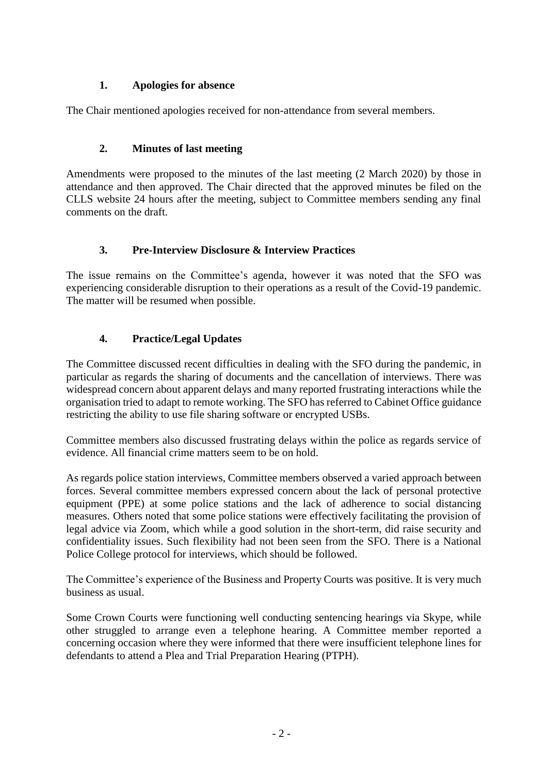# **1. Apologies for absence**

The Chair mentioned apologies received for non-attendance from several members.

# **2. Minutes of last meeting**

Amendments were proposed to the minutes of the last meeting (2 March 2020) by those in attendance and then approved. The Chair directed that the approved minutes be filed on the CLLS website 24 hours after the meeting, subject to Committee members sending any final comments on the draft.

# **3. Pre-Interview Disclosure & Interview Practices**

The issue remains on the Committee's agenda, however it was noted that the SFO was experiencing considerable disruption to their operations as a result of the Covid-19 pandemic. The matter will be resumed when possible.

# **4. Practice/Legal Updates**

The Committee discussed recent difficulties in dealing with the SFO during the pandemic, in particular as regards the sharing of documents and the cancellation of interviews. There was widespread concern about apparent delays and many reported frustrating interactions while the organisation tried to adapt to remote working. The SFO has referred to Cabinet Office guidance restricting the ability to use file sharing software or encrypted USBs.

Committee members also discussed frustrating delays within the police as regards service of evidence. All financial crime matters seem to be on hold.

As regards police station interviews, Committee members observed a varied approach between forces. Several committee members expressed concern about the lack of personal protective equipment (PPE) at some police stations and the lack of adherence to social distancing measures. Others noted that some police stations were effectively facilitating the provision of legal advice via Zoom, which while a good solution in the short-term, did raise security and confidentiality issues. Such flexibility had not been seen from the SFO. There is a National Police College protocol for interviews, which should be followed.

The Committee's experience of the Business and Property Courts was positive. It is very much business as usual.

Some Crown Courts were functioning well conducting sentencing hearings via Skype, while other struggled to arrange even a telephone hearing. A Committee member reported a concerning occasion where they were informed that there were insufficient telephone lines for defendants to attend a Plea and Trial Preparation Hearing (PTPH).